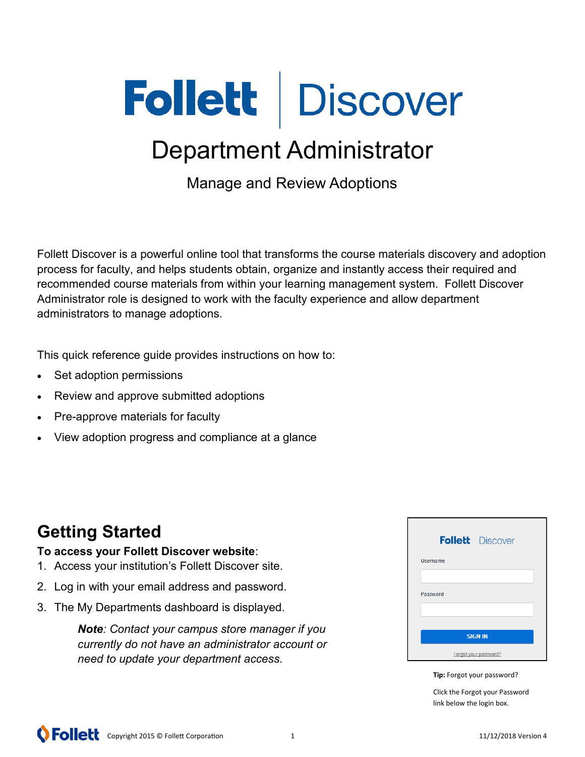# Follett Discover

# Department Administrator

Manage and Review Adoptions

Follett Discover is a powerful online tool that transforms the course materials discovery and adoption process for faculty, and helps students obtain, organize and instantly access their required and recommended course materials from within your learning management system. Follett Discover Administrator role is designed to work with the faculty experience and allow department administrators to manage adoptions.

This quick reference guide provides instructions on how to:

- Set adoption permissions
- Review and approve submitted adoptions
- Pre-approve materials for faculty
- View adoption progress and compliance at a glance

## **Getting Started**

#### **To access your Follett Discover website**:

- 1. Access your institution's Follett Discover site.
- 2. Log in with your email address and password.
- 3. The My Departments dashboard is displayed.

*Note: Contact your campus store manager if you currently do not have an administrator account or need to update your department access.*

| <b>Follett</b> Discover |
|-------------------------|
| Username                |
|                         |
| Password                |
|                         |
| <b>SIGN IN</b>          |
| Forgot your password?   |

**Tip:** Forgot your password?

Click the Forgot your Password link below the login box.

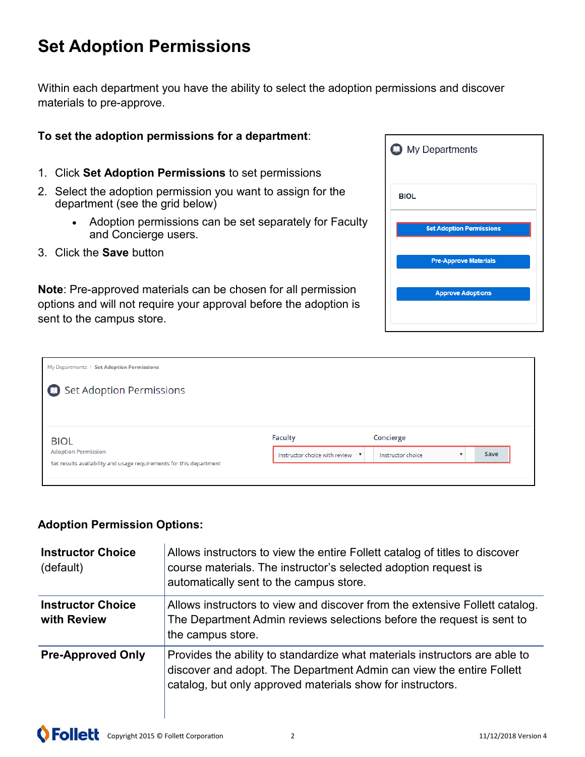## **Set Adoption Permissions**

Within each department you have the ability to select the adoption permissions and discover materials to pre-approve.

#### **To set the adoption permissions for a department**:

- 1. Click **Set Adoption Permissions** to set permissions
- 2. Select the adoption permission you want to assign for the department (see the grid below)
	- Adoption permissions can be set separately for Faculty and Concierge users.
- 3. Click the **Save** button

**Note**: Pre-approved materials can be chosen for all permission options and will not require your approval before the adoption is sent to the campus store.

| <b>O</b> My Departments         |
|---------------------------------|
| <b>BIOL</b>                     |
| <b>Set Adoption Permissions</b> |
| <b>Pre-Approve Materials</b>    |
| <b>Approve Adoptions</b>        |
|                                 |

| <b>Faculty</b>                  | Concierge         |      |  |
|---------------------------------|-------------------|------|--|
| Instructor choice with review v | Instructor choice | Save |  |
|                                 |                   |      |  |
|                                 |                   |      |  |

#### **Adoption Permission Options:**

| <b>Instructor Choice</b><br>(default)   | Allows instructors to view the entire Follett catalog of titles to discover<br>course materials. The instructor's selected adoption request is<br>automatically sent to the campus store.                        |
|-----------------------------------------|------------------------------------------------------------------------------------------------------------------------------------------------------------------------------------------------------------------|
| <b>Instructor Choice</b><br>with Review | Allows instructors to view and discover from the extensive Follett catalog.<br>The Department Admin reviews selections before the request is sent to<br>the campus store.                                        |
| <b>Pre-Approved Only</b>                | Provides the ability to standardize what materials instructors are able to<br>discover and adopt. The Department Admin can view the entire Follett<br>catalog, but only approved materials show for instructors. |

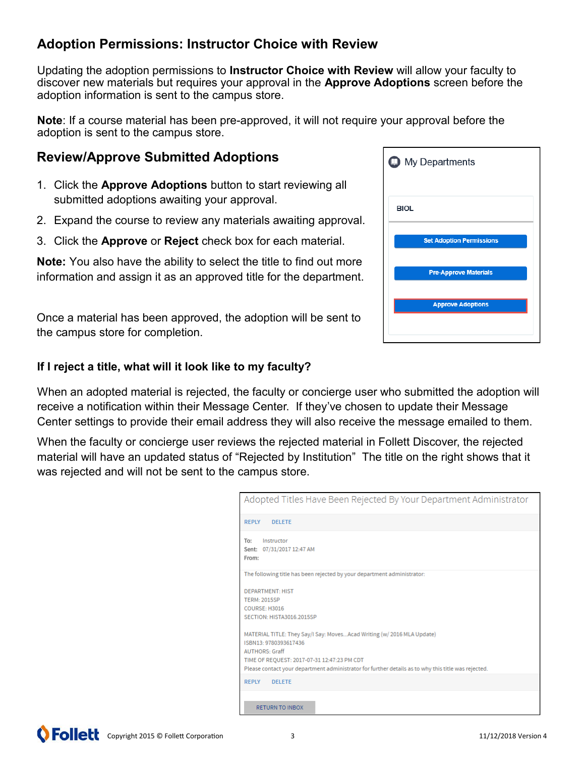#### **Adoption Permissions: Instructor Choice with Review**

Updating the adoption permissions to **Instructor Choice with Review** will allow your faculty to discover new materials but requires your approval in the **Approve Adoptions** screen before the adoption information is sent to the campus store.

**Note**: If a course material has been pre-approved, it will not require your approval before the adoption is sent to the campus store.

#### **Review/Approve Submitted Adoptions**

- 1. Click the **Approve Adoptions** button to start reviewing all submitted adoptions awaiting your approval.
- 2. Expand the course to review any materials awaiting approval.
- 3. Click the **Approve** or **Reject** check box for each material.

**Note:** You also have the ability to select the title to find out more information and assign it as an approved title for the department.

Once a material has been approved, the adoption will be sent to the campus store for completion.

#### **If I reject a title, what will it look like to my faculty?**

When an adopted material is rejected, the faculty or concierge user who submitted the adoption will receive a notification within their Message Center. If they've chosen to update their Message Center settings to provide their email address they will also receive the message emailed to them.

When the faculty or concierge user reviews the rejected material in Follett Discover, the rejected material will have an updated status of "Rejected by Institution" The title on the right shows that it was rejected and will not be sent to the campus store.

| Adopted Titles Have Been Rejected By Your Department Administrator                                  |
|-----------------------------------------------------------------------------------------------------|
| <b>REPLY</b><br>DELETE                                                                              |
| To:<br>Instructor<br>07/31/2017 12:47 AM<br>Sent:<br>From:                                          |
| The following title has been rejected by your department administrator:                             |
| <b>DEPARTMENT: HIST</b>                                                                             |
| <b>TERM: 2015SP</b>                                                                                 |
| <b>COURSE: H3016</b>                                                                                |
| SECTION: HISTA3016 2015SP                                                                           |
| MATERIAL TITLE: They Say/I Say: MovesAcad Writing (w/ 2016 MLA Update)                              |
| ISBN13-9780393617436                                                                                |
| <b>AUTHORS</b> : Graff                                                                              |
| TIME OF REQUEST: 2017-07-31 12:47:23 PM CDT                                                         |
| Please contact your department administrator for further details as to why this title was rejected. |
| <b>REPLY</b><br><b>DELETE</b>                                                                       |
|                                                                                                     |
| <b>RETURN TO INBOX</b>                                                                              |

| <b>D</b> My Departments         |  |  |  |  |
|---------------------------------|--|--|--|--|
| <b>BIOL</b>                     |  |  |  |  |
| <b>Set Adoption Permissions</b> |  |  |  |  |
| <b>Pre-Approve Materials</b>    |  |  |  |  |
| <b>Approve Adoptions</b>        |  |  |  |  |